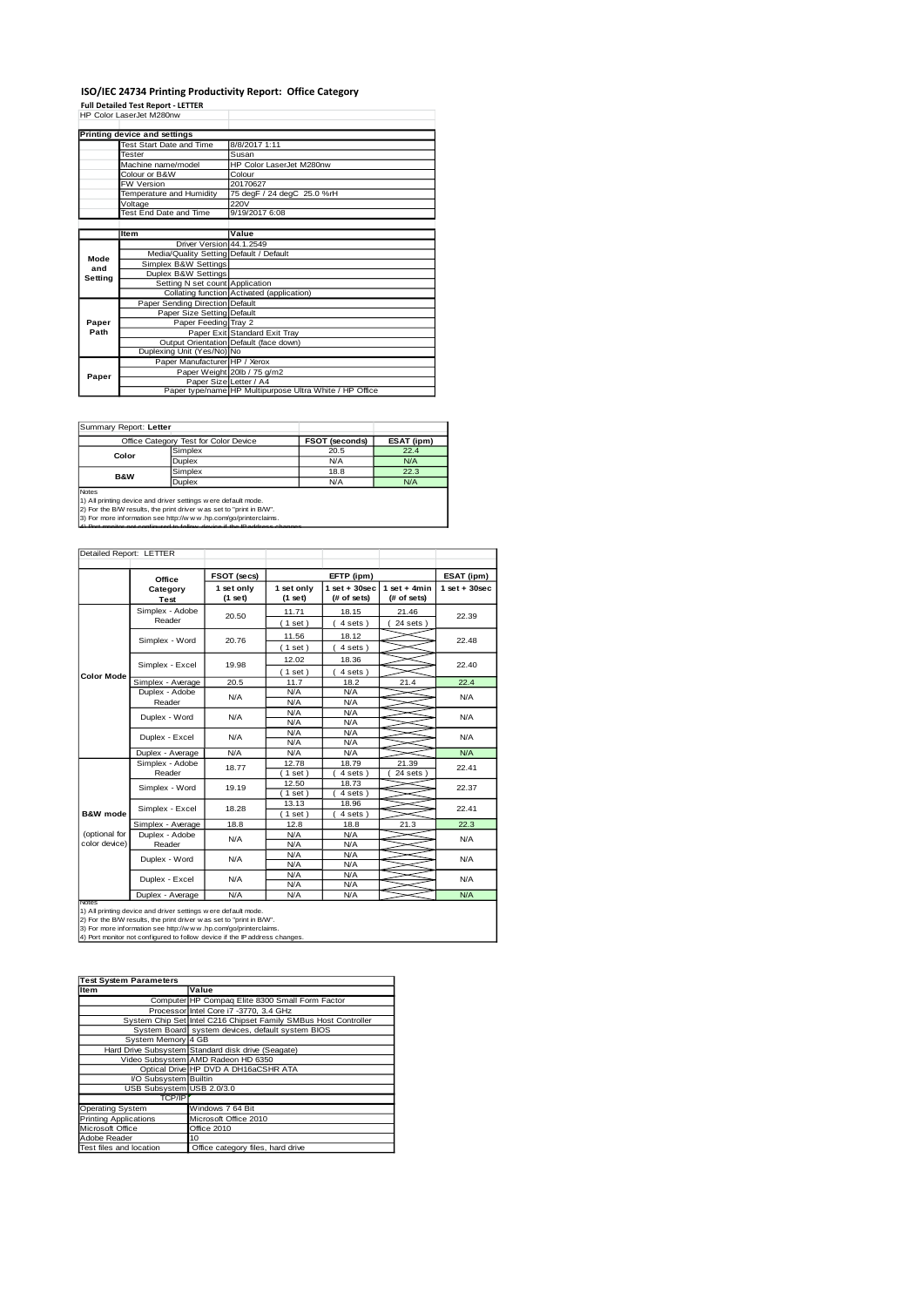#### **ISO/IEC 24734 Printing Productivity Report: Office Category**

**Full Detailed Test Report - LETTER** HP Color LaserJet M280nw

|         | Printing device and settings            |                                                         |  |  |
|---------|-----------------------------------------|---------------------------------------------------------|--|--|
|         | <b>Test Start Date and Time</b>         | 8/8/2017 1:11                                           |  |  |
|         | Tester                                  | Susan                                                   |  |  |
|         | Machine name/model                      | HP Color LaserJet M280nw                                |  |  |
|         | Colour or B&W                           | Colour                                                  |  |  |
|         | FW Version                              | 20170627                                                |  |  |
|         | Temperature and Humidity                | 75 degF / 24 degC 25.0 %rH                              |  |  |
|         | Voltage                                 | 220V                                                    |  |  |
|         | Test End Date and Time                  | 9/19/2017 6:08                                          |  |  |
|         |                                         |                                                         |  |  |
|         | Item                                    | Value                                                   |  |  |
|         | Driver Version 44.1.2549                |                                                         |  |  |
| Mode    | Media/Quality Setting Default / Default |                                                         |  |  |
| and     | Simplex B&W Settings                    |                                                         |  |  |
| Setting | Duplex B&W Settings                     |                                                         |  |  |
|         | Setting N set count Application         |                                                         |  |  |
|         |                                         | Collating function Activated (application)              |  |  |
|         | Paper Sending Direction Default         |                                                         |  |  |
|         | Paper Size Setting Default              |                                                         |  |  |
| Paper   | Paper Feeding Tray 2                    |                                                         |  |  |
| Path    |                                         | Paper Exit Standard Exit Tray                           |  |  |
|         |                                         | Output Orientation Default (face down)                  |  |  |
|         | Duplexing Unit (Yes/No) No              |                                                         |  |  |
|         | Paper Manufacturer HP / Xerox           |                                                         |  |  |
| Paper   |                                         | Paper Weight 20lb / 75 g/m2                             |  |  |
|         | Paper Size Letter / A4                  |                                                         |  |  |
|         |                                         | Paper type/name HP Multipurpose Ultra White / HP Office |  |  |

Summary Report: **Letter**

|                                                              | Office Category Test for Color Device | <b>FSOT (seconds)</b> | ESAT (ipm) |  |  |  |
|--------------------------------------------------------------|---------------------------------------|-----------------------|------------|--|--|--|
| Color                                                        | Simplex                               | 20.5                  | 22.4       |  |  |  |
|                                                              | <b>Duplex</b>                         | N/A                   | N/A        |  |  |  |
| <b>B&amp;W</b>                                               | Simplex                               | 18.8                  | 22.3       |  |  |  |
|                                                              | <b>Duplex</b>                         | N/A                   | N/A        |  |  |  |
| <b>Notes</b>                                                 |                                       |                       |            |  |  |  |
| 1) All printing device and driver settings were default mode |                                       |                       |            |  |  |  |

1) All printing device and driver settings were default mode.<br>2) For the BMV results, the print driver was set to "print in BAW".<br>3) For more information see http://www.hp.com/go/printerclaims.<br>4) Por monitor not operious

| Detailed Report: LETTER        |                                                                    |       |                                                         |                  |                               |                 |  |
|--------------------------------|--------------------------------------------------------------------|-------|---------------------------------------------------------|------------------|-------------------------------|-----------------|--|
|                                | FSOT (secs)<br>Office<br>1 set only<br>Category<br>(1 set)<br>Test |       |                                                         | EFTP (ipm)       |                               |                 |  |
|                                |                                                                    |       | $1$ set + 30sec<br>1 set only<br>(# of sets)<br>(1 set) |                  | $1$ set + 4min<br>(# of sets) | $1$ set + 30sec |  |
|                                | Simplex - Adobe<br>Reader                                          | 20.50 | 11.71<br>$1$ set)                                       | 18.15<br>4 sets) | 21.46<br>$24$ sets $)$        | 22.39           |  |
|                                | Simplex - Word                                                     | 20.76 | 11.56<br>(1 set)                                        | 18.12<br>4 sets) |                               | 22.48           |  |
|                                | Simplex - Excel                                                    | 19.98 | 12.02<br>$1$ set)                                       | 18.36<br>4 sets) |                               | 22.40           |  |
| <b>Color Mode</b>              | Simplex - Average                                                  | 20.5  | 11.7                                                    | 18.2             | 21.4                          | 22.4            |  |
|                                | Duplex - Adobe<br>Reader                                           | N/A   | N/A<br>N/A                                              | N/A<br>N/A       |                               | N/A             |  |
|                                | Duplex - Word                                                      | N/A   | N/A<br>N/A                                              | N/A<br>N/A       |                               | N/A             |  |
|                                | Duplex - Excel                                                     | N/A   | N/A<br>N/A                                              | N/A<br>N/A       |                               | N/A             |  |
|                                | Duplex - Average                                                   | N/A   | N/A                                                     | N/A              |                               | N/A             |  |
|                                | Simplex - Adobe<br>Reader                                          | 18.77 | 12.78<br>$1$ set)                                       | 18.79<br>4 sets) | 21.39<br>24 sets              | 22.41           |  |
|                                | Simplex - Word                                                     | 19.19 | 12.50<br>$1$ set)                                       | 18.73<br>4 sets) |                               | 22.37           |  |
| B&W mode                       | Simplex - Excel                                                    | 18.28 | 13.13<br>$1$ set)                                       | 18.96<br>4 sets) |                               | 22.41           |  |
|                                | Simplex - Average                                                  | 18.8  | 12.8                                                    | 18.8             | 21.3                          | 22.3            |  |
| (optional for<br>color device) | Duplex - Adobe<br>Reader                                           | N/A   | N/A<br>N/A                                              | N/A<br>N/A       |                               | N/A             |  |
|                                | Duplex - Word                                                      | N/A   | N/A<br>N/A                                              | N/A<br>N/A       |                               | N/A             |  |
|                                | Duplex - Excel                                                     | N/A   | N/A<br>N/A                                              | N/A<br>N/A       |                               | N/A             |  |
|                                | Duplex - Average                                                   | N/A   | N/A                                                     | N/A              |                               | N/A             |  |

Notes<br>1) All printing device and driver settings were default mode.<br>2) For the B/W results, the print driver was set to "print in B/W".<br>3) For more information see http://w.w. vhp.com/go/printerclaims.<br>4) Port monitor not

| <b>Test System Parameters</b> |                                                                 |  |  |  |
|-------------------------------|-----------------------------------------------------------------|--|--|--|
| Item                          | Value                                                           |  |  |  |
|                               | Computer HP Compaq Elite 8300 Small Form Factor                 |  |  |  |
|                               | Processor Intel Core i7 -3770, 3.4 GHz                          |  |  |  |
|                               | System Chip Set Intel C216 Chipset Family SMBus Host Controller |  |  |  |
|                               | System Board system devices, default system BIOS                |  |  |  |
| System Memory 4 GB            |                                                                 |  |  |  |
|                               | Hard Drive Subsystem Standard disk drive (Seagate)              |  |  |  |
|                               | Video Subsystem AMD Radeon HD 6350                              |  |  |  |
|                               | Optical Drive HP DVD A DH16aCSHR ATA                            |  |  |  |
| VO Subsystem Builtin          |                                                                 |  |  |  |
| USB Subsystem USB 2.0/3.0     |                                                                 |  |  |  |
| TCP/IP                        |                                                                 |  |  |  |
| Operating System              | Windows 7 64 Bit                                                |  |  |  |
| <b>Printing Applications</b>  | Microsoft Office 2010                                           |  |  |  |
| Microsoft Office              | Office 2010                                                     |  |  |  |
| Adobe Reader                  | 10                                                              |  |  |  |
| Test files and location       | Office category files, hard drive                               |  |  |  |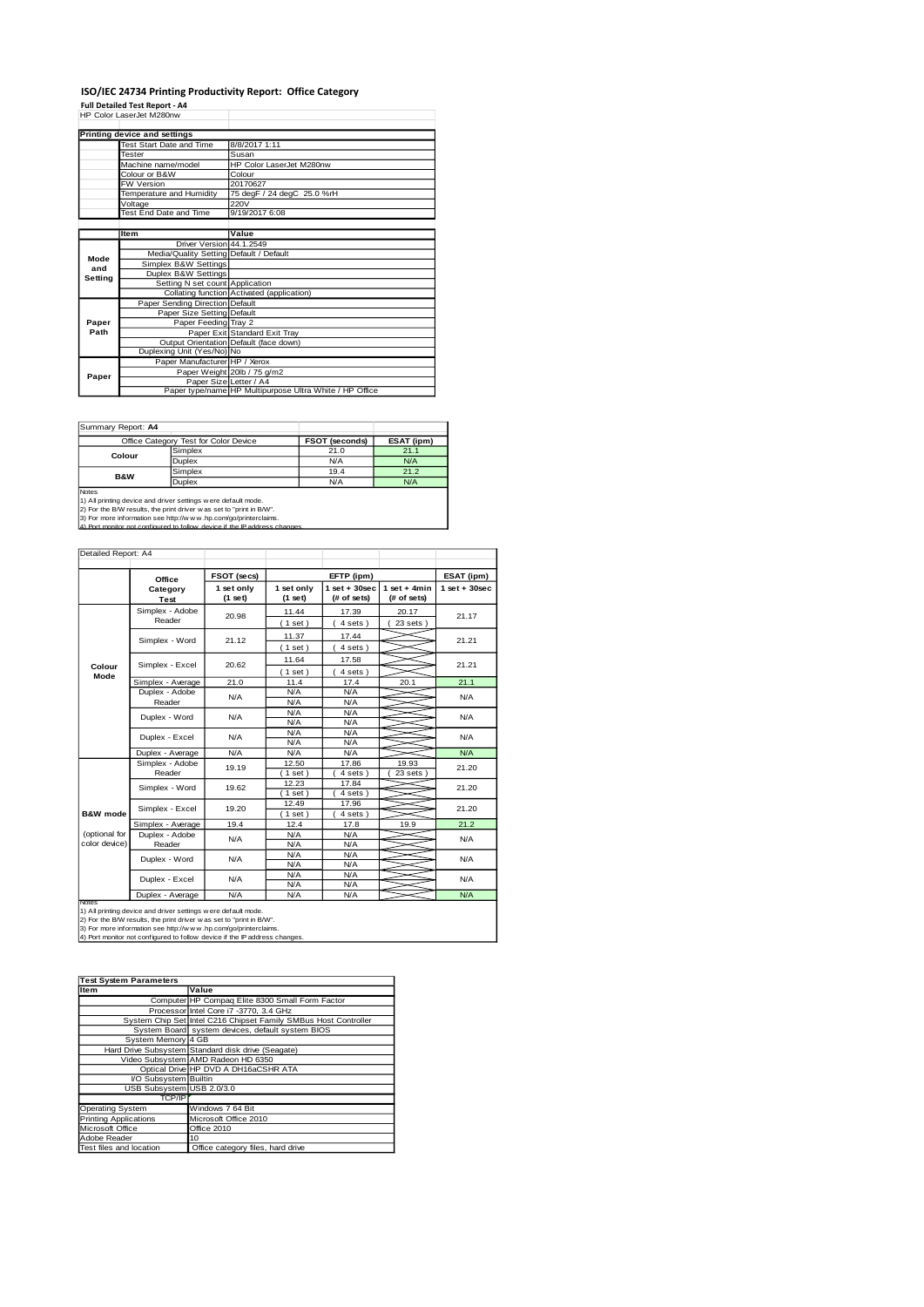#### **ISO/IEC 24734 Printing Productivity Report: Office Category**

T

**Full Detailed Test Report - A4** HP Color LaserJet M280nw

|         | Printing device and settings            |                                                         |
|---------|-----------------------------------------|---------------------------------------------------------|
|         | Test Start Date and Time                | 8/8/2017 1:11                                           |
|         | Tester                                  | Susan                                                   |
|         | Machine name/model                      | HP Color LaserJet M280nw                                |
|         | Colour or B&W                           | Colour                                                  |
|         | FW Version                              | 20170627                                                |
|         | Temperature and Humidity                | 75 degF / 24 degC 25.0 %rH                              |
|         | Voltage                                 | 220V                                                    |
|         | Test End Date and Time                  | 9/19/2017 6:08                                          |
|         |                                         |                                                         |
|         | Item                                    | Value                                                   |
|         | Driver Version 44.1.2549                |                                                         |
| Mode    | Media/Quality Setting Default / Default |                                                         |
| and     | Simplex B&W Settings                    |                                                         |
| Setting | Duplex B&W Settings                     |                                                         |
|         | Setting N set count Application         |                                                         |
|         |                                         | Collating function Activated (application)              |
|         | Paper Sending Direction Default         |                                                         |
|         | Paper Size Setting Default              |                                                         |
| Paper   | Paper Feeding Tray 2                    |                                                         |
| Path    |                                         | Paper Exit Standard Exit Tray                           |
|         |                                         | Output Orientation Default (face down)                  |
|         | Duplexing Unit (Yes/No) No              |                                                         |
|         | Paper Manufacturer HP / Xerox           |                                                         |
| Paper   |                                         | Paper Weight 20lb / 75 g/m2                             |
|         | Paper Size Letter / A4                  |                                                         |
|         |                                         | Paper type/name HP Multipurpose Ultra White / HP Office |

Summary Report: **A4**

|                | Office Category Test for Color Device | <b>FSOT (seconds)</b> | ESAT (ipm) |
|----------------|---------------------------------------|-----------------------|------------|
| Colour         | Simplex                               | 21.0                  | 21.1       |
|                | <b>Duplex</b>                         | N/A                   | N/A        |
| <b>B&amp;W</b> | Simplex                               | 19.4                  | 21.2       |
|                | <b>Duplex</b>                         | N/A                   | N/A        |
| Notes          |                                       |                       |            |

Notes<br>1) All printing device and driver settings were default mode.<br>2) For the B/W results, the print driver was set to "print in B/W".<br>3) For more information see http://w.w.v.hp.com/go/printerclaims.<br>4) Por more informat

| Detailed Report: A4            |                           |                         |                          |                                |                               |                   |  |
|--------------------------------|---------------------------|-------------------------|--------------------------|--------------------------------|-------------------------------|-------------------|--|
|                                | Office                    | FSOT (secs)             | EFTP (ipm)               |                                |                               | ESAT (ipm)        |  |
|                                | Category<br>Test          | 1 set only<br>$(1$ set) | 1 set only<br>(1 set)    | $1$ set + 30sec<br>(# of sets) | $1$ set + 4min<br>(# of sets) | $1$ set $+30$ sec |  |
|                                | Simplex - Adobe<br>Reader | 20.98                   | 11.44<br>(1 set)         | 17.39<br>4 sets)               | 20.17<br>23 sets              | 21.17             |  |
|                                | Simplex - Word            | 21.12                   | 11.37<br>(1 set)         | 17.44<br>4 sets)               |                               | 21.21             |  |
| Colour                         | Simplex - Excel           | 20.62                   | 11.64<br>(1 set)         | 17.58<br>4 sets)               |                               | 21.21             |  |
| Mode                           | Simplex - Average         | 21.0                    | 11.4                     | 17.4                           | 20.1                          | 21.1              |  |
|                                | Duplex - Adobe<br>Reader  | N/A                     | N/A<br>N/A               | N/A<br>N/A                     |                               | N/A               |  |
|                                | Duplex - Word             | N/A                     | N/A<br>N/A               | N/A<br>N/A                     |                               | N/A               |  |
|                                | Duplex - Excel            | N/A                     | N/A<br>N/A<br>N/A<br>N/A |                                | N/A                           |                   |  |
|                                | Duplex - Average          | N/A                     | N/A                      | N/A                            |                               | N/A               |  |
|                                | Simplex - Adobe<br>Reader | 19.19                   | 12.50<br>$1$ set)        | 17.86<br>4 sets                | 19.93<br>23 sets              | 21.20             |  |
|                                | Simplex - Word            | 19.62                   | 12.23<br>$1$ set         | 17.84<br>4 sets)               |                               | 21.20             |  |
| B&W mode                       | Simplex - Excel           | 19.20                   | 12.49<br>$1$ set)        | 17.96<br>4 sets)               |                               | 21.20             |  |
|                                | Simplex - Average         | 19.4                    | 12.4                     | 17.8                           | 19.9                          | 21.2              |  |
| (optional for<br>color device) | Duplex - Adobe<br>Reader  | N/A                     | N/A<br>N/A               | N/A<br>N/A                     |                               | N/A               |  |
|                                | Duplex - Word             | N/A                     | N/A<br>N/A               | N/A<br>N/A                     |                               | N/A               |  |
|                                | Duplex - Excel            | N/A                     | N/A<br>N/A               | N/A<br>N/A                     |                               | N/A               |  |
| <b>Notes</b>                   | Duplex - Average          | N/A                     | N/A                      | N/A                            |                               | N/A               |  |

Notes<br>1) All printing device and driver settings were default mode.<br>2) For the B/W results, the print driver was set to "print in B/W".<br>3) For more information see http://w.w. vhp.com/go/printerclaims.<br>4) Port monitor not

| <b>Test System Parameters</b> |                                                                 |
|-------------------------------|-----------------------------------------------------------------|
| Item                          | Value                                                           |
|                               | Computer HP Compaq Elite 8300 Small Form Factor                 |
|                               | Processor Intel Core i7 -3770, 3.4 GHz                          |
|                               | System Chip Set Intel C216 Chipset Family SMBus Host Controller |
|                               | System Board system devices, default system BIOS                |
| System Memory 4 GB            |                                                                 |
|                               | Hard Drive Subsystem Standard disk drive (Seagate)              |
|                               | Video Subsystem AMD Radeon HD 6350                              |
|                               | Optical Drive HP DVD A DH16aCSHR ATA                            |
| VO Subsystem Builtin          |                                                                 |
| USB Subsystem USB 2.0/3.0     |                                                                 |
| TCP/IP                        |                                                                 |
| <b>Operating System</b>       | Windows 7 64 Bit                                                |
| <b>Printing Applications</b>  | Microsoft Office 2010                                           |
| Microsoft Office              | Office 2010                                                     |
| Adobe Reader                  | 10                                                              |
| Test files and location       | Office category files, hard drive                               |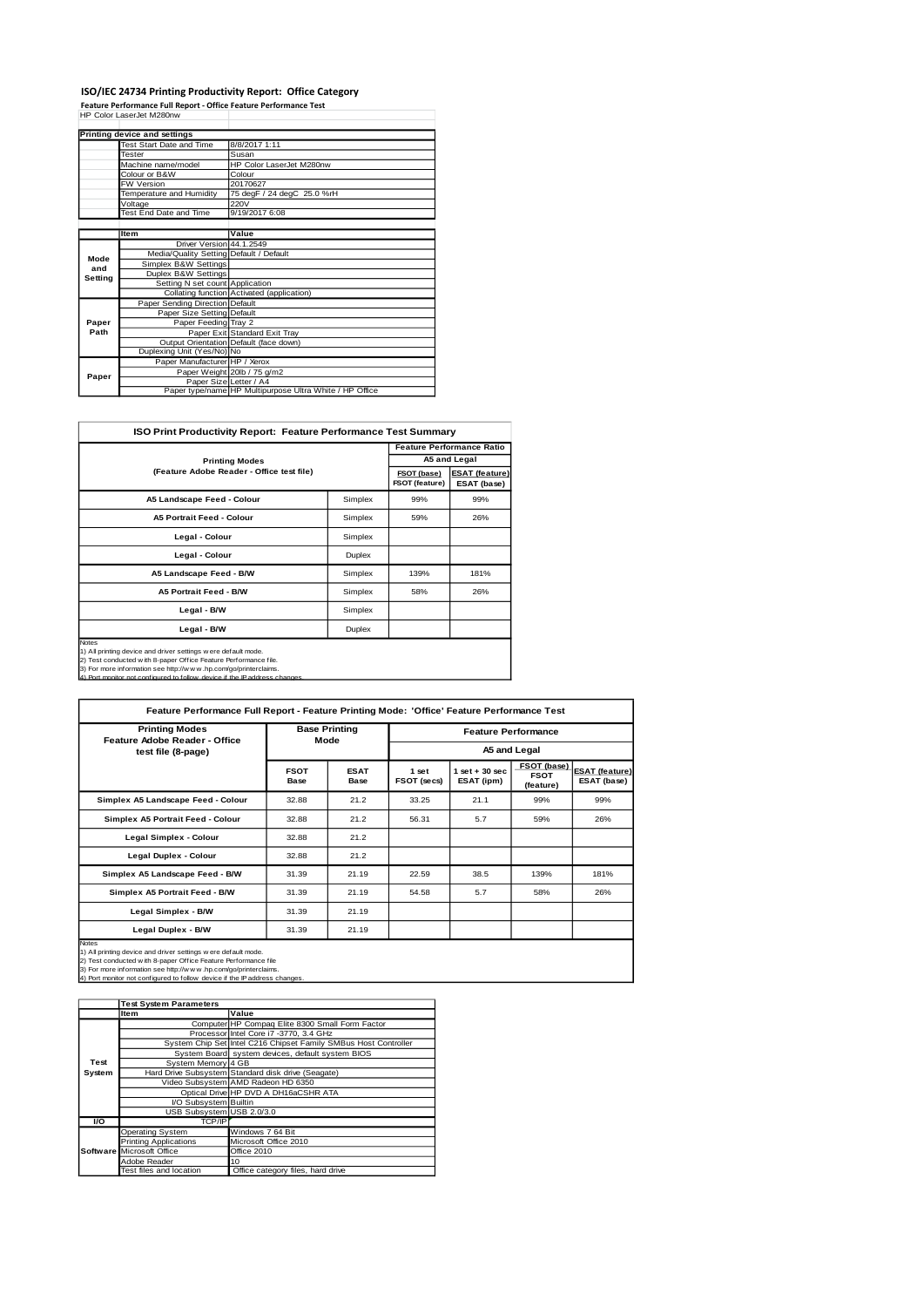#### **ISO/IEC 24734 Printing Productivity Report: Office Category**

**Feature Performance Full Report - Office Feature Performance Test** HP Color LaserJet M280nw

|         | Printing device and settings            |                                                         |
|---------|-----------------------------------------|---------------------------------------------------------|
|         | Test Start Date and Time                | 8/8/2017 1:11                                           |
|         | Tester                                  | Susan                                                   |
|         | Machine name/model                      | HP Color LaserJet M280nw                                |
|         | Colour or B&W                           | Colour                                                  |
|         | <b>FW Version</b>                       | 20170627                                                |
|         | Temperature and Humidity                | 75 degF / 24 degC 25.0 %rH                              |
|         | Voltage                                 | 220V                                                    |
|         | Test End Date and Time                  | 9/19/2017 6:08                                          |
|         |                                         |                                                         |
|         | Item                                    | Value                                                   |
|         | Driver Version 44.1.2549                |                                                         |
| Mode    | Media/Quality Setting Default / Default |                                                         |
| and     | Simplex B&W Settings                    |                                                         |
| Setting | Duplex B&W Settings                     |                                                         |
|         | Setting N set count Application         |                                                         |
|         |                                         | Collating function Activated (application)              |
|         | Paper Sending Direction Default         |                                                         |
|         | Paper Size Setting Default              |                                                         |
| Paper   | Paper Feeding Tray 2                    |                                                         |
| Path    |                                         | Paper Exit Standard Exit Tray                           |
|         |                                         | Output Orientation Default (face down)                  |
|         | Duplexing Unit (Yes/No) No              |                                                         |
|         | Paper Manufacturer HP / Xerox           |                                                         |
| Paper   |                                         | Paper Weight 20lb / 75 g/m2                             |
|         | Paper Size Letter / A4                  |                                                         |
|         |                                         | Paper type/name HP Multipurpose Ultra White / HP Office |

| <b>ISO Print Productivity Report: Feature Performance Test Summary</b>                                                                                                                                                                                                                             |         |                               |                                      |  |  |  |
|----------------------------------------------------------------------------------------------------------------------------------------------------------------------------------------------------------------------------------------------------------------------------------------------------|---------|-------------------------------|--------------------------------------|--|--|--|
|                                                                                                                                                                                                                                                                                                    |         |                               | <b>Feature Performance Ratio</b>     |  |  |  |
| <b>Printing Modes</b>                                                                                                                                                                                                                                                                              |         | A5 and Legal                  |                                      |  |  |  |
| (Feature Adobe Reader - Office test file)                                                                                                                                                                                                                                                          |         | FSOT (base)<br>FSOT (feature) | <b>ESAT (feature)</b><br>ESAT (base) |  |  |  |
| A5 Landscape Feed - Colour                                                                                                                                                                                                                                                                         | Simplex | 99%                           | 99%                                  |  |  |  |
| <b>A5 Portrait Feed - Colour</b>                                                                                                                                                                                                                                                                   | Simplex | 59%                           | 26%                                  |  |  |  |
| Legal - Colour                                                                                                                                                                                                                                                                                     | Simplex |                               |                                      |  |  |  |
| Legal - Colour                                                                                                                                                                                                                                                                                     | Duplex  |                               |                                      |  |  |  |
| A5 Landscape Feed - B/W                                                                                                                                                                                                                                                                            | Simplex | 139%                          | 181%                                 |  |  |  |
| A5 Portrait Feed - B/W                                                                                                                                                                                                                                                                             | Simplex | 58%                           | 26%                                  |  |  |  |
| Legal - B/W                                                                                                                                                                                                                                                                                        | Simplex |                               |                                      |  |  |  |
| Legal - B/W<br>Duplex                                                                                                                                                                                                                                                                              |         |                               |                                      |  |  |  |
| <b>Notes</b><br>1) All printing device and driver settings w ere default mode.<br>2) Test conducted with 8-paper Office Feature Performance file.<br>3) For more information see http://www.hp.com/go/printerclaims.<br>4) Port monitor not configured to follow device if the IP address changes. |         |                               |                                      |  |  |  |

| Feature Performance Full Report - Feature Printing Mode: 'Office' Feature Performance Test                                                                                                                                                                                                         |                              |                            |                            |                                 |                                         |                                      |
|----------------------------------------------------------------------------------------------------------------------------------------------------------------------------------------------------------------------------------------------------------------------------------------------------|------------------------------|----------------------------|----------------------------|---------------------------------|-----------------------------------------|--------------------------------------|
| <b>Printing Modes</b><br>Feature Adobe Reader - Office                                                                                                                                                                                                                                             | <b>Base Printing</b><br>Mode |                            | <b>Feature Performance</b> |                                 |                                         |                                      |
| test file (8-page)                                                                                                                                                                                                                                                                                 |                              |                            | A5 and Legal               |                                 |                                         |                                      |
|                                                                                                                                                                                                                                                                                                    | <b>FSOT</b><br><b>Base</b>   | <b>ESAT</b><br><b>Base</b> | 1 set<br>FSOT (secs)       | $1$ set $+30$ sec<br>ESAT (ipm) | FSOT (base)<br><b>FSOT</b><br>(feature) | <b>ESAT (feature)</b><br>ESAT (base) |
| Simplex A5 Landscape Feed - Colour                                                                                                                                                                                                                                                                 | 32.88                        | 21.2                       | 33.25                      | 21.1                            | 99%                                     | 99%                                  |
| Simplex A5 Portrait Feed - Colour                                                                                                                                                                                                                                                                  | 32.88                        | 21.2                       | 56.31                      | 5.7                             | 59%                                     | 26%                                  |
| Legal Simplex - Colour                                                                                                                                                                                                                                                                             | 32.88                        | 21.2                       |                            |                                 |                                         |                                      |
| Legal Duplex - Colour                                                                                                                                                                                                                                                                              | 32.88                        | 21.2                       |                            |                                 |                                         |                                      |
| Simplex A5 Landscape Feed - B/W                                                                                                                                                                                                                                                                    | 31.39                        | 21.19                      | 22.59                      | 38.5                            | 139%                                    | 181%                                 |
| Simplex A5 Portrait Feed - B/W                                                                                                                                                                                                                                                                     | 31.39                        | 21.19                      | 54.58                      | 5.7                             | 58%                                     | 26%                                  |
| Legal Simplex - B/W                                                                                                                                                                                                                                                                                | 31.39                        | 21.19                      |                            |                                 |                                         |                                      |
| Legal Duplex - B/W                                                                                                                                                                                                                                                                                 | 31.39                        | 21.19                      |                            |                                 |                                         |                                      |
| <b>Notes</b><br>1) All printing device and driver settings w ere default mode.<br>2) Test conducted w ith 8-paper Office Feature Performance file<br>3) For more information see http://www.hp.com/go/printerclaims.<br>4) Port monitor not configured to follow device if the IP address changes. |                              |                            |                            |                                 |                                         |                                      |

|           | <b>Test System Parameters</b> |                                                                 |
|-----------|-------------------------------|-----------------------------------------------------------------|
|           | Item                          | Value                                                           |
|           |                               | Computer HP Compaq Elite 8300 Small Form Factor                 |
|           |                               | Processor Intel Core i7 -3770, 3.4 GHz                          |
|           |                               | System Chip Set Intel C216 Chipset Family SMBus Host Controller |
|           |                               | System Board system devices, default system BIOS                |
| Test      | System Memory 4 GB            |                                                                 |
| System    |                               | Hard Drive Subsystem Standard disk drive (Seagate)              |
|           |                               | Video Subsystem AMD Radeon HD 6350                              |
|           |                               | Optical Drive HP DVD A DH16aCSHR ATA                            |
|           | I/O Subsystem Builtin         |                                                                 |
|           | USB Subsystem USB 2.0/3.0     |                                                                 |
| <b>VO</b> | <b>TCP/IP</b>                 |                                                                 |
|           | Operating System              | Windows 7 64 Bit                                                |
|           | <b>Printing Applications</b>  | Microsoft Office 2010                                           |
|           | Software Microsoft Office     | Office 2010                                                     |
|           | Adobe Reader                  | 10                                                              |
|           | Test files and location       | Office category files, hard drive                               |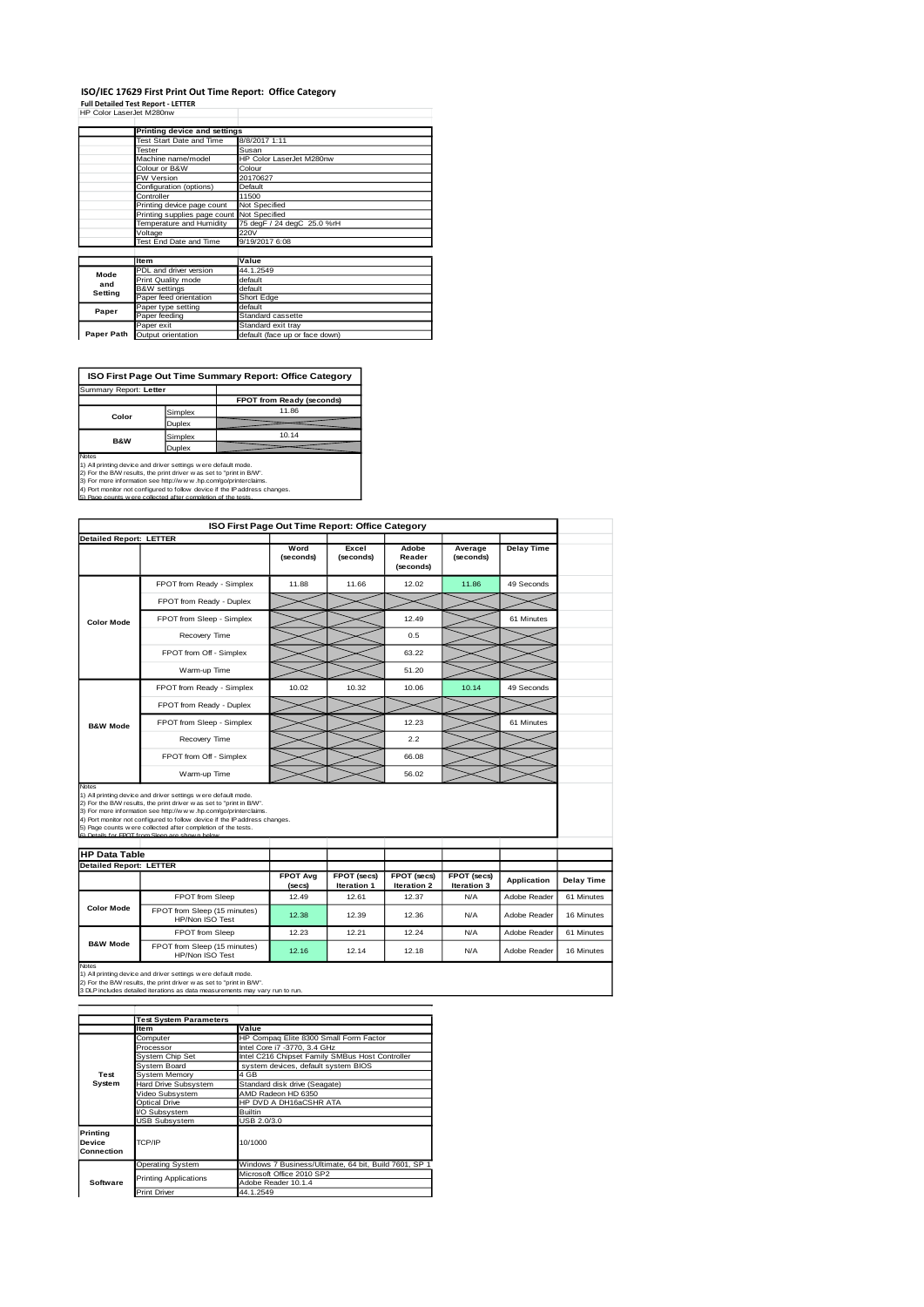### **ISO/IEC 17629 First Print Out Time Report: Office Category**

**Full Detailed Test Report - LETTER** HP Color LaserJet M280nw

|            | Printing device and settings |                                |  |  |
|------------|------------------------------|--------------------------------|--|--|
|            | Test Start Date and Time     | 8/8/2017 1:11                  |  |  |
|            | Tester                       | Susan                          |  |  |
|            | Machine name/model           | HP Color LaserJet M280nw       |  |  |
|            | Colour or B&W                | Colour                         |  |  |
|            | <b>FW Version</b>            | 20170627                       |  |  |
|            | Configuration (options)      | Default                        |  |  |
|            | Controller                   | 11500                          |  |  |
|            | Printing device page count   | Not Specified                  |  |  |
|            | Printing supplies page count | Not Specified                  |  |  |
|            | Temperature and Humidity     | 75 degF / 24 degC 25.0 %rH     |  |  |
|            | Voltage                      | 220V                           |  |  |
|            | Test End Date and Time       | 9/19/2017 6:08                 |  |  |
|            |                              |                                |  |  |
|            | <b>Item</b>                  | Value                          |  |  |
| Mode       | PDL and driver version       | 44.1.2549                      |  |  |
| and        | Print Quality mode           | default                        |  |  |
| Setting    | <b>B&amp;W</b> settings      | default                        |  |  |
|            | Paper feed orientation       | Short Edge                     |  |  |
| Paper      | Paper type setting           | default                        |  |  |
|            | Paper feeding                | Standard cassette              |  |  |
|            | Paper exit                   | Standard exit tray             |  |  |
| Paper Path | Output orientation           | default (face up or face down) |  |  |

**FPOT from Ready** ( Simplex 11.86 Duplex Simplex 10.14 **Duplex ISO First Page Out Time Summary Report: Office Category** Summary Report: **Letter Color B&W**

Notes<br>1) All printing device and driver settings were default mode.<br>2) For the BAV results, the print driver was ast to "print in BVV".<br>3) For more information see http://www.hp.com/go/printerclaims.<br>4) Port monitor not co

|                                |                                                                                                                                                                                                                                                                                                                                                                                                         |                           | ISO First Page Out Time Report: Office Category |                              |                            |                    |            |
|--------------------------------|---------------------------------------------------------------------------------------------------------------------------------------------------------------------------------------------------------------------------------------------------------------------------------------------------------------------------------------------------------------------------------------------------------|---------------------------|-------------------------------------------------|------------------------------|----------------------------|--------------------|------------|
| <b>Detailed Report: LETTER</b> |                                                                                                                                                                                                                                                                                                                                                                                                         |                           |                                                 |                              |                            |                    |            |
|                                |                                                                                                                                                                                                                                                                                                                                                                                                         | Word<br>(seconds)         | Excel<br>(seconds)                              | Adobe<br>Reader<br>(seconds) | Average<br>(seconds)       | <b>Delay Time</b>  |            |
|                                | FPOT from Ready - Simplex                                                                                                                                                                                                                                                                                                                                                                               | 11.88                     | 11.66                                           | 12.02                        | 11.86                      | 49 Seconds         |            |
|                                | FPOT from Ready - Duplex                                                                                                                                                                                                                                                                                                                                                                                |                           |                                                 |                              |                            |                    |            |
| <b>Color Mode</b>              | FPOT from Sleep - Simplex                                                                                                                                                                                                                                                                                                                                                                               |                           |                                                 | 12.49                        |                            | 61 Minutes         |            |
|                                | Recovery Time                                                                                                                                                                                                                                                                                                                                                                                           |                           |                                                 | 0.5                          |                            |                    |            |
|                                | FPOT from Off - Simplex                                                                                                                                                                                                                                                                                                                                                                                 |                           |                                                 | 63.22                        |                            |                    |            |
|                                | Warm-up Time                                                                                                                                                                                                                                                                                                                                                                                            |                           |                                                 | 51.20                        |                            |                    |            |
|                                | FPOT from Ready - Simplex                                                                                                                                                                                                                                                                                                                                                                               | 10.02                     | 10.32                                           | 10.06                        | 10.14                      | 49 Seconds         |            |
|                                | FPOT from Ready - Duplex                                                                                                                                                                                                                                                                                                                                                                                |                           |                                                 |                              |                            |                    |            |
| <b>B&amp;W Mode</b>            | FPOT from Sleep - Simplex                                                                                                                                                                                                                                                                                                                                                                               |                           |                                                 | 12.23                        |                            | 61 Minutes         |            |
|                                | Recovery Time                                                                                                                                                                                                                                                                                                                                                                                           |                           |                                                 | 2.2                          |                            |                    |            |
|                                | FPOT from Off - Simplex                                                                                                                                                                                                                                                                                                                                                                                 |                           |                                                 | 66.08                        |                            |                    |            |
|                                |                                                                                                                                                                                                                                                                                                                                                                                                         |                           |                                                 |                              |                            |                    |            |
| Notes                          | Warm-up Time                                                                                                                                                                                                                                                                                                                                                                                            |                           |                                                 | 56.02                        |                            |                    |            |
|                                | 1) All printing device and driver settings were default mode.<br>2) For the B/W results, the print driver was set to "print in B/W".<br>3) For more information see http://www.hp.com/go/printerclaims.<br>4) Port monitor not configured to follow device if the IP address changes.<br>5) Page counts were collected after completion of the tests.<br>6) Detaile for EDOT from Sloop are shown below |                           |                                                 |                              |                            |                    |            |
| <b>HP Data Table</b>           |                                                                                                                                                                                                                                                                                                                                                                                                         |                           |                                                 |                              |                            |                    |            |
| <b>Detailed Report: LETTER</b> |                                                                                                                                                                                                                                                                                                                                                                                                         |                           |                                                 |                              |                            |                    |            |
|                                |                                                                                                                                                                                                                                                                                                                                                                                                         | <b>FPOT Avg</b><br>(secs) | FPOT (secs)<br>Iteration 1                      | FPOT (secs)<br>Iteration 2   | FPOT (secs)<br>Iteration 3 | <b>Application</b> | Delay Time |
|                                | <b>FPOT</b> from Sleep                                                                                                                                                                                                                                                                                                                                                                                  | 12.49                     | 12.61                                           | 12.37                        | N/A                        | Adobe Reader       | 61 Minutes |
| <b>Color Mode</b>              | FPOT from Sleep (15 minutes)<br>HP/Non ISO Test                                                                                                                                                                                                                                                                                                                                                         | 12.38                     | 12.39                                           | 12.36                        | N/A                        | Adobe Reader       | 16 Minutes |
| <b>B&amp;W Mode</b>            | FPOT from Sleep                                                                                                                                                                                                                                                                                                                                                                                         | 12.23                     | 12.21                                           | 12.24                        | N/A                        | Adobe Reader       | 61 Minutes |

Notes<br>1) All printing device and driver settings w ere default mode.<br>2) For the B/W results, the print driver w as set to "print in B/W".<br>3 DLP includes detailed iterations as data measurements may vary run to run.

|                                         | <b>Test System Parameters</b> |                                                       |  |  |  |
|-----------------------------------------|-------------------------------|-------------------------------------------------------|--|--|--|
|                                         | Item                          | Value                                                 |  |  |  |
|                                         | Computer                      | HP Compaq Elite 8300 Small Form Factor                |  |  |  |
|                                         | Processor                     | Intel Core i7 -3770, 3.4 GHz                          |  |  |  |
|                                         | System Chip Set               | Intel C216 Chipset Family SMBus Host Controller       |  |  |  |
|                                         | <b>System Board</b>           | system devices, default system BIOS                   |  |  |  |
| Test                                    | System Memory                 | 4 GB                                                  |  |  |  |
| System                                  | Hard Drive Subsystem          | Standard disk drive (Seagate)                         |  |  |  |
|                                         | Video Subsystem               | AMD Radeon HD 6350                                    |  |  |  |
|                                         | Optical Drive                 | HP DVD A DH16aCSHR ATA                                |  |  |  |
|                                         | VO Subsystem                  | <b>Builtin</b>                                        |  |  |  |
|                                         | <b>USB Subsystem</b>          | USB 2.0/3.0                                           |  |  |  |
| Printina<br><b>Device</b><br>Connection | TCP/IP                        | 10/1000                                               |  |  |  |
|                                         | <b>Operating System</b>       | Windows 7 Business/Ultimate, 64 bit, Build 7601, SP 1 |  |  |  |
|                                         | <b>Printing Applications</b>  | Microsoft Office 2010 SP2                             |  |  |  |
| Software                                |                               | Adobe Reader 10.1.4                                   |  |  |  |
|                                         | <b>Print Driver</b>           | 44.1.2549                                             |  |  |  |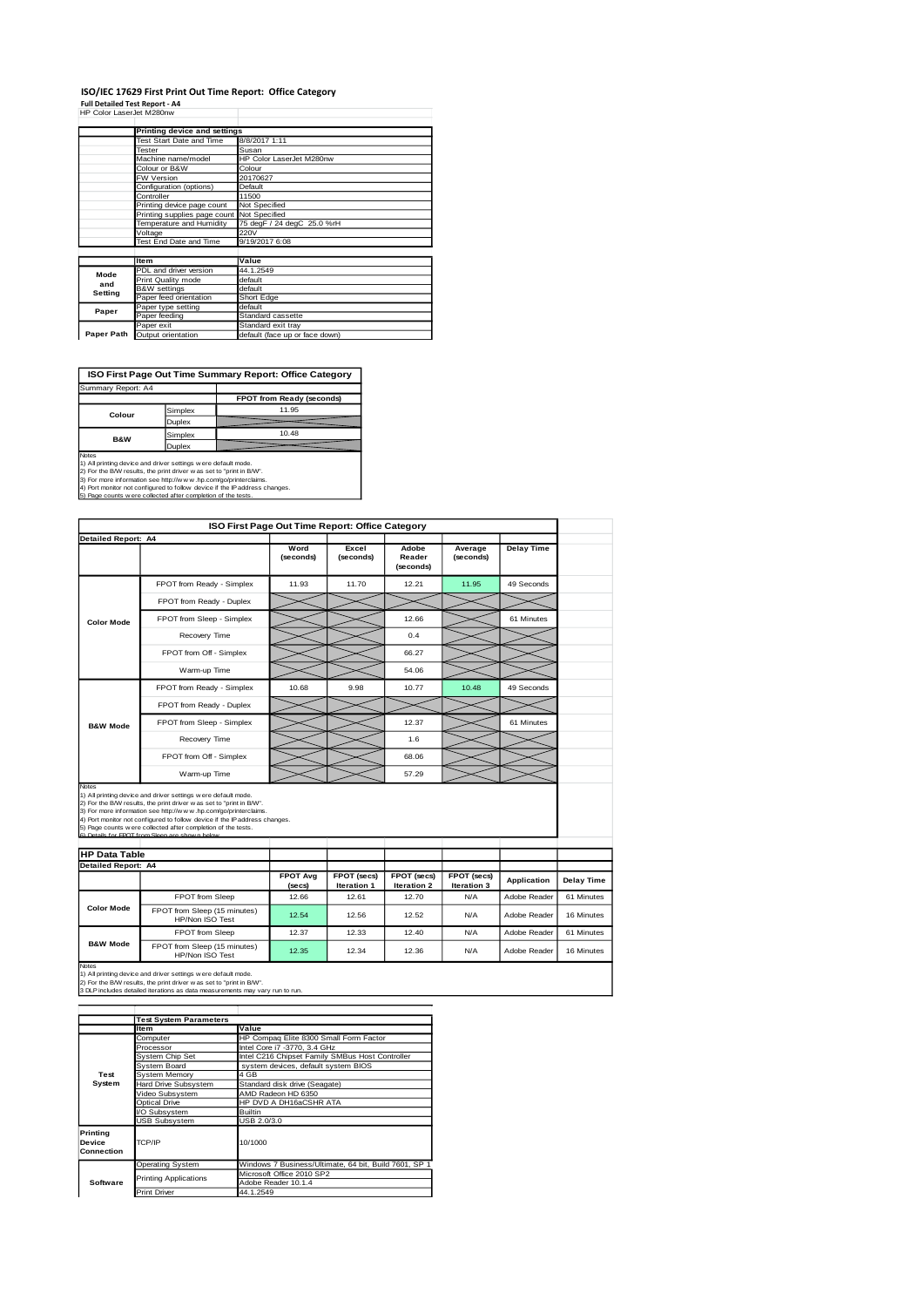## **ISO/IEC 17629 First Print Out Time Report: Office Category**

**Full Detailed Test Report - A4** HP Color LaserJet M280nw

|            | Printing device and settings               |                                |
|------------|--------------------------------------------|--------------------------------|
|            | <b>Test Start Date and Time</b>            | 8/8/2017 1:11                  |
|            | Tester                                     | Susan                          |
|            | Machine name/model                         | HP Color LaserJet M280nw       |
|            | Colour or B&W                              | Colour                         |
|            | <b>FW Version</b>                          | 20170627                       |
|            | Configuration (options)                    | Default                        |
|            | Controller                                 | 11500                          |
|            | Printing device page count                 | Not Specified                  |
|            | Printing supplies page count Not Specified |                                |
|            | Temperature and Humidity                   | 75 degF / 24 degC 25.0 %rH     |
|            | Voltage                                    | 220V                           |
|            | Test End Date and Time                     | 9/19/2017 6:08                 |
|            |                                            |                                |
|            | <b>Item</b>                                | Value                          |
| Mode       | PDL and driver version                     | 44.1.2549                      |
| and        | Print Quality mode                         | default                        |
| Setting    | <b>B&amp;W</b> settings                    | default                        |
|            | Paper feed orientation                     | Short Edge                     |
| Paper      | Paper type setting                         | default                        |
|            | Paper feeding                              | Standard cassette              |
|            | Paper exit                                 | Standard exit tray             |
| Paper Path | Output orientation                         | default (face up or face down) |

**ISO First Page Out Time Summary Report: Office Category**

| Summary Report: A4 |         |                           |
|--------------------|---------|---------------------------|
|                    |         | FPOT from Ready (seconds) |
| Colour             | Simplex | 11.95                     |
|                    | Duplex  |                           |
| <b>B&amp;W</b>     | Simplex | 10.48                     |
|                    | Duplex  |                           |

Notes<br>
Notes<br>
1) All primiting device and driver settings were default mode.<br>
2) For the BAW results, the print driver was as to "print in BAW".<br>
4) For more information see http://www.hp.com/go/printerciaims.<br>
4) Port mon

|                                                                                                                                                                                                                                                                                                                                                                                                                 | ISO First Page Out Time Report: Office Category |                           |                            |                                   |                            |                    |            |
|-----------------------------------------------------------------------------------------------------------------------------------------------------------------------------------------------------------------------------------------------------------------------------------------------------------------------------------------------------------------------------------------------------------------|-------------------------------------------------|---------------------------|----------------------------|-----------------------------------|----------------------------|--------------------|------------|
| <b>Detailed Report: A4</b>                                                                                                                                                                                                                                                                                                                                                                                      |                                                 |                           |                            |                                   |                            |                    |            |
|                                                                                                                                                                                                                                                                                                                                                                                                                 |                                                 | Word<br>(seconds)         | Excel<br>(seconds)         | Adobe<br>Reader<br>(seconds)      | Average<br>(seconds)       | <b>Delay Time</b>  |            |
|                                                                                                                                                                                                                                                                                                                                                                                                                 | FPOT from Ready - Simplex                       | 11.93                     | 11.70                      | 12.21                             | 11.95                      | 49 Seconds         |            |
|                                                                                                                                                                                                                                                                                                                                                                                                                 | FPOT from Ready - Duplex                        |                           |                            |                                   |                            |                    |            |
| <b>Color Mode</b>                                                                                                                                                                                                                                                                                                                                                                                               | FPOT from Sleep - Simplex                       |                           |                            | 12.66                             |                            | 61 Minutes         |            |
|                                                                                                                                                                                                                                                                                                                                                                                                                 | Recovery Time                                   |                           |                            | 0.4                               |                            |                    |            |
|                                                                                                                                                                                                                                                                                                                                                                                                                 | FPOT from Off - Simplex                         |                           |                            | 66.27                             |                            |                    |            |
|                                                                                                                                                                                                                                                                                                                                                                                                                 | Warm-up Time                                    |                           |                            | 54.06                             |                            |                    |            |
|                                                                                                                                                                                                                                                                                                                                                                                                                 | FPOT from Ready - Simplex                       | 10.68                     | 9.98                       | 10.77                             | 10.48                      | 49 Seconds         |            |
|                                                                                                                                                                                                                                                                                                                                                                                                                 | FPOT from Ready - Duplex                        |                           |                            |                                   |                            |                    |            |
| <b>B&amp;W Mode</b>                                                                                                                                                                                                                                                                                                                                                                                             | FPOT from Sleep - Simplex                       |                           |                            | 12.37                             |                            | 61 Minutes         |            |
|                                                                                                                                                                                                                                                                                                                                                                                                                 | Recovery Time                                   |                           |                            | 1.6                               |                            |                    |            |
|                                                                                                                                                                                                                                                                                                                                                                                                                 | FPOT from Off - Simplex                         |                           |                            | 68.06                             |                            |                    |            |
|                                                                                                                                                                                                                                                                                                                                                                                                                 | Warm-up Time                                    |                           |                            | 57.29                             |                            |                    |            |
| Notes<br>1) All printing device and driver settings were default mode.<br>2) For the B/W results, the print driver was set to "print in B/W".<br>3) For more information see http://www.hp.com/go/printerclaims.<br>4) Port monitor not configured to follow device if the IP address changes.<br>5) Page counts w ere collected after completion of the tests.<br>R) Detaile for EDOT from Sloop are chown hel |                                                 |                           |                            |                                   |                            |                    |            |
| <b>HP Data Table</b><br><b>Detailed Report: A4</b>                                                                                                                                                                                                                                                                                                                                                              |                                                 |                           |                            |                                   |                            |                    |            |
|                                                                                                                                                                                                                                                                                                                                                                                                                 |                                                 | <b>FPOT Avg</b><br>(secs) | FPOT (secs)<br>Iteration 1 | FPOT (secs)<br><b>Iteration 2</b> | FPOT (secs)<br>Iteration 3 | <b>Application</b> | Delay Time |
|                                                                                                                                                                                                                                                                                                                                                                                                                 | FPOT from Sleep                                 | 12.66                     | 12.61                      | 12.70                             | <b>N/A</b>                 | Adobe Reader       | 61 Minutes |
| <b>Color Mode</b>                                                                                                                                                                                                                                                                                                                                                                                               | FPOT from Sleep (15 minutes)<br>HP/Non ISO Test | 12.54                     | 12.56                      | 12.52                             | <b>N/A</b>                 | Adobe Reader       | 16 Minutes |
|                                                                                                                                                                                                                                                                                                                                                                                                                 | FPOT from Sleep                                 | 12.37                     | 12.33                      | 12.40                             | <b>N/A</b>                 | Adobe Reader       | 61 Minutes |
| <b>B&amp;W Mode</b>                                                                                                                                                                                                                                                                                                                                                                                             | FPOT from Sleep (15 minutes)                    | 12.35                     | 12.34                      | 12.36                             | <b>N/A</b>                 | Adobe Reader       | 16 Minutes |

Notes<br>1) All printing device and driver settings w ere default mode.<br>2) For the B/W results, the print driver w as set to "print in B/W".<br>3 DLP includes detailed iterations as data measurements may vary run to run.

|                                         | <b>Test System Parameters</b> |                                                       |  |  |  |
|-----------------------------------------|-------------------------------|-------------------------------------------------------|--|--|--|
|                                         | Item                          | Value                                                 |  |  |  |
|                                         | Computer                      | HP Compag Elite 8300 Small Form Factor                |  |  |  |
|                                         | Processor                     | Intel Core i7 -3770, 3.4 GHz                          |  |  |  |
|                                         | System Chip Set               | Intel C216 Chipset Family SMBus Host Controller       |  |  |  |
|                                         | System Board                  | system devices, default system BIOS                   |  |  |  |
| Test                                    | System Memory                 | 4 GB                                                  |  |  |  |
| System                                  | <b>Hard Drive Subsystem</b>   | Standard disk drive (Seagate)                         |  |  |  |
|                                         | Video Subsystem               | AMD Radeon HD 6350                                    |  |  |  |
|                                         | <b>Optical Drive</b>          | HP DVD A DH16aCSHR ATA                                |  |  |  |
|                                         | VO Subsystem                  | <b>Builtin</b>                                        |  |  |  |
|                                         | <b>USB Subsystem</b>          | USB 2.0/3.0                                           |  |  |  |
| <b>Printing</b><br>Device<br>Connection | TCP/IP                        | 10/1000                                               |  |  |  |
|                                         | <b>Operating System</b>       | Windows 7 Business/Ultimate, 64 bit, Build 7601, SP 1 |  |  |  |
|                                         |                               | Microsoft Office 2010 SP2                             |  |  |  |
| Software                                |                               | Adobe Reader 10.1.4                                   |  |  |  |
|                                         | <b>Print Driver</b>           | 44.1.2549                                             |  |  |  |
|                                         | <b>Printing Applications</b>  |                                                       |  |  |  |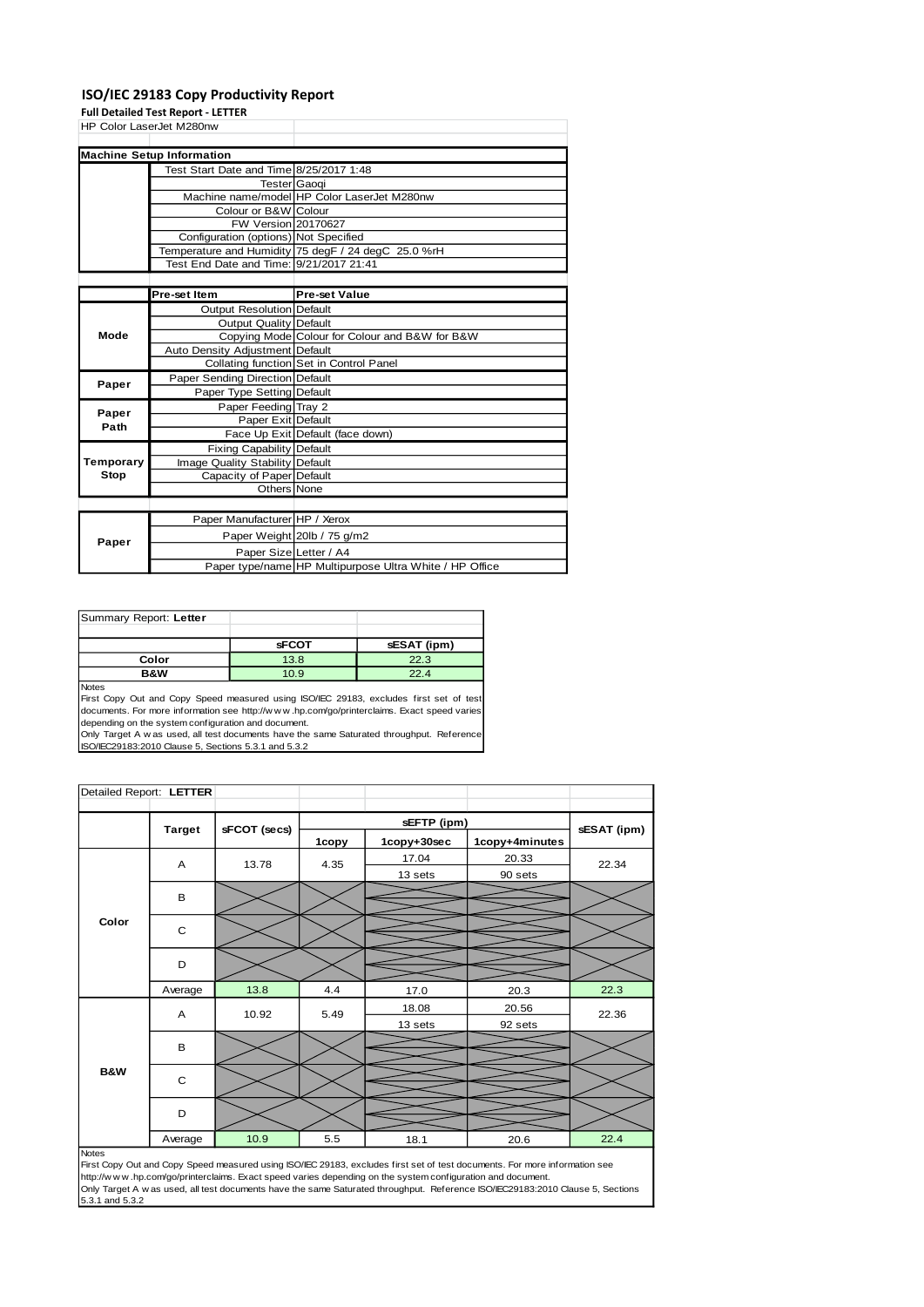#### **ISO/IEC 29183 Copy Productivity Report**

**Full Detailed Test Report - LETTER**

| HP Color LaserJet M280nw |                                         |                                             |
|--------------------------|-----------------------------------------|---------------------------------------------|
|                          |                                         |                                             |
|                          | <b>Machine Setup Information</b>        |                                             |
|                          | Test Start Date and Time 8/25/2017 1:48 |                                             |
|                          | Tester Gaogi                            |                                             |
|                          |                                         | Machine name/model HP Color LaserJet M280nw |
|                          | Colour or B&W Colour                    |                                             |

FW Version 20170627 Configuration (options) Not Specified

|           |                                         | Temperature and Humidity   75 degF / 24 degC 25.0 %rH   |
|-----------|-----------------------------------------|---------------------------------------------------------|
|           | Test End Date and Time: 9/21/2017 21:41 |                                                         |
|           |                                         |                                                         |
|           | Pre-set Item                            | <b>Pre-set Value</b>                                    |
|           | <b>Output Resolution Default</b>        |                                                         |
|           | Output Quality Default                  |                                                         |
| Mode      |                                         | Copying Mode Colour for Colour and B&W for B&W          |
|           | Auto Density Adjustment Default         |                                                         |
|           |                                         | Collating function Set in Control Panel                 |
| Paper     | Paper Sending Direction Default         |                                                         |
|           | Paper Type Setting Default              |                                                         |
| Paper     | Paper Feeding Tray 2                    |                                                         |
| Path      | Paper Exit Default                      |                                                         |
|           |                                         | Face Up Exit Default (face down)                        |
|           | <b>Fixing Capability Default</b>        |                                                         |
| Temporary | Image Quality Stability Default         |                                                         |
| Stop      | Capacity of Paper Default               |                                                         |
|           | Others None                             |                                                         |
|           |                                         |                                                         |
|           | Paper Manufacturer HP / Xerox           |                                                         |
|           |                                         | Paper Weight 20lb / 75 g/m2                             |
| Paper     | Paper Size Letter / A4                  |                                                         |
|           |                                         | Paper type/name HP Multipurpose Ultra White / HP Office |

| Summary Report: Letter |              |             |
|------------------------|--------------|-------------|
|                        |              |             |
|                        | <b>sFCOT</b> | sESAT (ipm) |
| Color                  | 13.8         | 22.3        |
| B&W                    | 10.9         | 22.4        |
| <b>Nloton</b>          |              |             |

Notes<br>First Copy Out and Copy Speed measured using ISO/IEC 29183, excludes first set of test<br>documents. For more information see http://w.w.w..hp.com/go/printerclaims. Exact speed varies depending on the system configuration and document.

Only Target A w as used, all test documents have the same Saturated throughput. Reference ISO/IEC29183:2010 Clause 5, Sections 5.3.1 and 5.3.2

| Detailed Report: LETTER |               |              |       |             |                |             |
|-------------------------|---------------|--------------|-------|-------------|----------------|-------------|
|                         |               |              |       | sEFTP (ipm) |                |             |
|                         | <b>Target</b> | sFCOT (secs) | 1copy | 1copy+30sec | 1copy+4minutes | sESAT (ipm) |
|                         | A<br>13.78    |              | 4.35  | 17.04       | 20.33          | 22.34       |
|                         |               |              |       | 13 sets     | 90 sets        |             |
|                         | B             |              |       |             |                |             |
| Color                   | C             |              |       |             |                |             |
|                         | D             |              |       |             |                |             |
|                         |               |              |       |             |                |             |
|                         | Average       | 13.8         | 4.4   | 17.0        | 20.3           | 22.3        |
|                         |               | A<br>10.92   | 5.49  | 18.08       | 20.56          | 22.36       |
|                         |               |              |       | 13 sets     | 92 sets        |             |
|                         | B             |              |       |             |                |             |
| <b>B&amp;W</b>          | C             |              |       |             |                |             |
|                         | D             |              |       |             |                |             |
|                         | Average       | 10.9         | 5.5   | 18.1        | 20.6           | 22.4        |
| <b>Notes</b>            |               |              |       |             |                |             |

Notes<br>First Copy Out and Copy Speed measured using ISO/IEC 29183, excludes first set of test documents. For more information see<br>http://w w w .hp.com/go/printerclaims. Exact speed varies depending on the system configurati Only Target A w as used, all test documents have the same Saturated throughput. Reference ISO/IEC29183:2010 Clause 5, Sections 5.3.1 and 5.3.2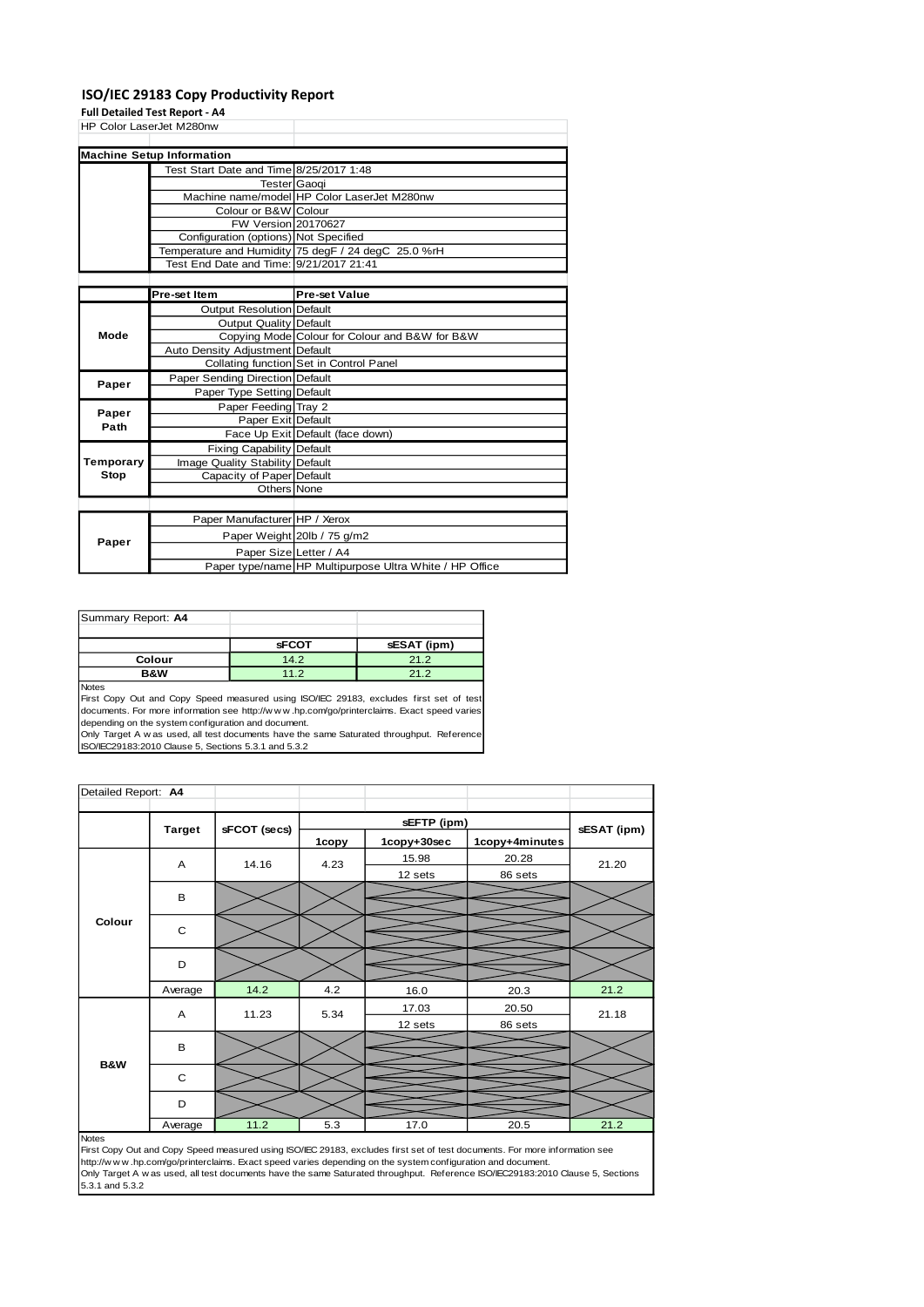#### **ISO/IEC 29183 Copy Productivity Report**

**Full Detailed Test Report - A4** HP Color LaserJet M280nw

| <b>TIF COIDI LASEIJEI IVIZOUIIW</b> |                                         |                                                     |
|-------------------------------------|-----------------------------------------|-----------------------------------------------------|
|                                     |                                         |                                                     |
|                                     | <b>Machine Setup Information</b>        |                                                     |
|                                     | Test Start Date and Time 8/25/2017 1:48 |                                                     |
|                                     | <b>Tester Gaogi</b>                     |                                                     |
|                                     |                                         | Machine name/model HP Color LaserJet M280nw         |
|                                     | Colour or B&W Colour                    |                                                     |
|                                     | FW Version 20170627                     |                                                     |
|                                     | Configuration (options) Not Specified   |                                                     |
|                                     |                                         | Temperature and Humidity 75 degF / 24 degC 25.0 %rH |
|                                     | Test End Date and Time: 9/21/2017 21:41 |                                                     |
|                                     |                                         |                                                     |

|               | <b>Pre-set Item</b>                    | <b>Pre-set Value</b>                                    |
|---------------|----------------------------------------|---------------------------------------------------------|
|               | <b>Output Resolution Default</b>       |                                                         |
|               | Output Quality Default                 |                                                         |
| Mode          |                                        | Copying Mode Colour for Colour and B&W for B&W          |
|               | Auto Density Adjustment Default        |                                                         |
|               |                                        | Collating function Set in Control Panel                 |
|               | <b>Paper Sending Direction Default</b> |                                                         |
| Paper         | Paper Type Setting Default             |                                                         |
|               | Paper Feeding Tray 2                   |                                                         |
| Paper<br>Path | Paper Exit Default                     |                                                         |
|               |                                        | Face Up Exit Default (face down)                        |
|               | <b>Fixing Capability Default</b>       |                                                         |
| Temporary     | Image Quality Stability Default        |                                                         |
| Stop          | Capacity of Paper Default              |                                                         |
|               | Others None                            |                                                         |
|               |                                        |                                                         |
|               | Paper Manufacturer HP / Xerox          |                                                         |
|               |                                        | Paper Weight 20lb / 75 g/m2                             |
| Paper         | Paper Size Letter / A4                 |                                                         |
|               |                                        | Paper type/name HP Multipurpose Ultra White / HP Office |

| Summary Report: A4 |              |             |
|--------------------|--------------|-------------|
|                    |              |             |
|                    | <b>sFCOT</b> | sESAT (ipm) |
| Colour             | 14.2         | 21.2        |
| B&W                | 11.2         | 21.2        |
| $N = 4 - 1$        |              |             |

Notes<br>First Copy Out and Copy Speed measured using ISO/IEC 29183, excludes first set of test<br>documents. For more information see http://w.w.w..hp.com/go/printerclaims. Exact speed varies depending on the system configuration and document.

Only Target A w as used, all test documents have the same Saturated throughput. Reference ISO/IEC29183:2010 Clause 5, Sections 5.3.1 and 5.3.2

| Detailed Report: A4 |               |              |       |             |                |             |
|---------------------|---------------|--------------|-------|-------------|----------------|-------------|
|                     | <b>Target</b> | sFCOT (secs) |       | sEFTP (ipm) |                | sESAT (ipm) |
|                     |               |              | 1copy | 1copy+30sec | 1copy+4minutes |             |
|                     | A             | 14.16        | 4.23  | 15.98       | 20.28          | 21.20       |
|                     |               |              |       | 12 sets     | 86 sets        |             |
|                     | B             |              |       |             |                |             |
| Colour              |               |              |       |             |                |             |
|                     | C             |              |       |             |                |             |
|                     |               |              |       |             |                |             |
|                     | D             |              |       |             |                |             |
|                     |               | 14.2         | 4.2   |             |                | 21.2        |
|                     | Average       |              |       | 16.0        | 20.3           |             |
|                     | A             | 11.23        | 5.34  | 17.03       | 20.50          | 21.18       |
|                     |               |              |       | 12 sets     | 86 sets        |             |
|                     | B             |              |       |             |                |             |
| B&W                 |               |              |       |             |                |             |
|                     | C             |              |       |             |                |             |
|                     | D             |              |       |             |                |             |
|                     | Average       | 11.2         | 5.3   | 17.0        | 20.5           | 21.2        |

First Copy Out and Copy Speed measured using ISO/IEC 29183, excludes first set of test documents. For more information see<br>http://w w w. hp.com/go/printerclaims. Exact speed varies depending on the system configuration and  $5.3.1$  and  $5.3.2$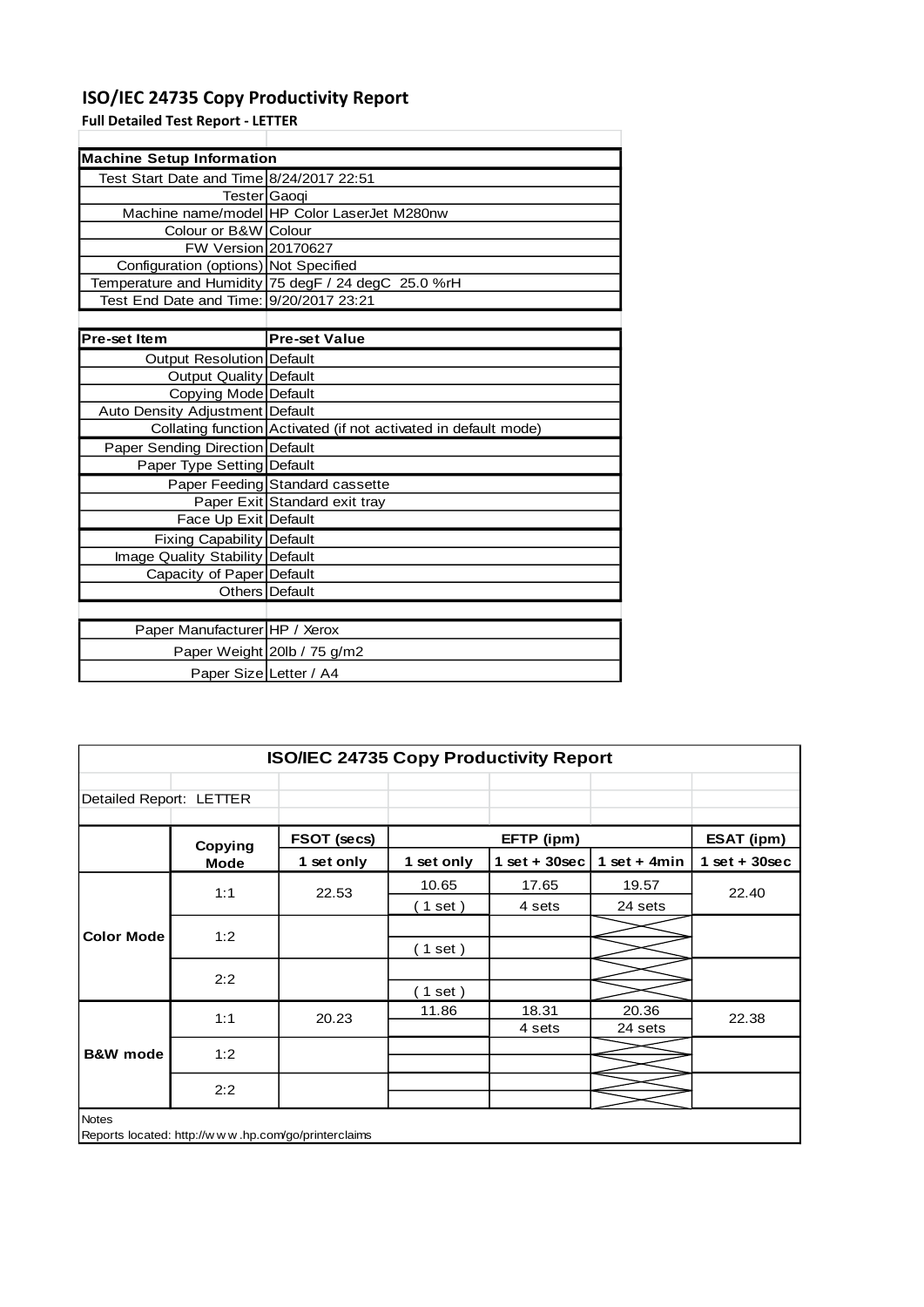# **ISO/IEC 24735 Copy Productivity Report**

**Full Detailed Test Report - LETTER**

| <b>Machine Setup Information</b>         |                                                                 |
|------------------------------------------|-----------------------------------------------------------------|
| Test Start Date and Time 8/24/2017 22:51 |                                                                 |
| Tester Gaoqi                             |                                                                 |
|                                          | Machine name/model HP Color LaserJet M280nw                     |
| Colour or B&W Colour                     |                                                                 |
| FW Version 20170627                      |                                                                 |
| Configuration (options) Not Specified    |                                                                 |
|                                          | Temperature and Humidity 75 degF / 24 degC 25.0 %rH             |
| Test End Date and Time: 9/20/2017 23:21  |                                                                 |
|                                          |                                                                 |
| <b>Pre-set Item</b>                      | <b>Pre-set Value</b>                                            |
| Output Resolution Default                |                                                                 |
| <b>Output Quality Default</b>            |                                                                 |
| Copying Mode Default                     |                                                                 |
| Auto Density Adjustment Default          |                                                                 |
|                                          | Collating function Activated (if not activated in default mode) |
| Paper Sending Direction Default          |                                                                 |
| Paper Type Setting Default               |                                                                 |
|                                          | Paper Feeding Standard cassette                                 |
|                                          | Paper Exit Standard exit tray                                   |
| Face Up Exit Default                     |                                                                 |
| Fixing Capability Default                |                                                                 |
| Image Quality Stability Default          |                                                                 |
| Capacity of Paper Default                |                                                                 |
|                                          | Others Default                                                  |
|                                          |                                                                 |
| Paper Manufacturer HP / Xerox            |                                                                 |
|                                          | Paper Weight 20lb / 75 g/m2                                     |
| Paper Size Letter / A4                   |                                                                 |

| Detailed Report: LETTER<br>FSOT (secs)<br>Copying |                |                 |                |                   |
|---------------------------------------------------|----------------|-----------------|----------------|-------------------|
|                                                   |                |                 |                |                   |
|                                                   |                | EFTP (ipm)      |                | <b>ESAT (ipm)</b> |
| 1 set only<br><b>Mode</b>                         | 1 set only     | $1$ set + 30sec | 1 set + $4min$ | $1$ set + 30sec   |
|                                                   | 10.65          | 17.65           | 19.57          | 22.40             |
|                                                   | $(1$ set)      | 4 sets          | 24 sets        |                   |
|                                                   |                |                 |                |                   |
|                                                   | ( 1 set )      |                 |                |                   |
|                                                   |                |                 |                |                   |
|                                                   | $1$ set)       |                 |                |                   |
|                                                   | 11.86          | 18.31           | 20.36          | 22.38             |
|                                                   |                | 4 sets          | 24 sets        |                   |
|                                                   |                |                 |                |                   |
|                                                   |                |                 |                |                   |
|                                                   |                |                 |                |                   |
|                                                   | 22.53<br>20.23 |                 |                |                   |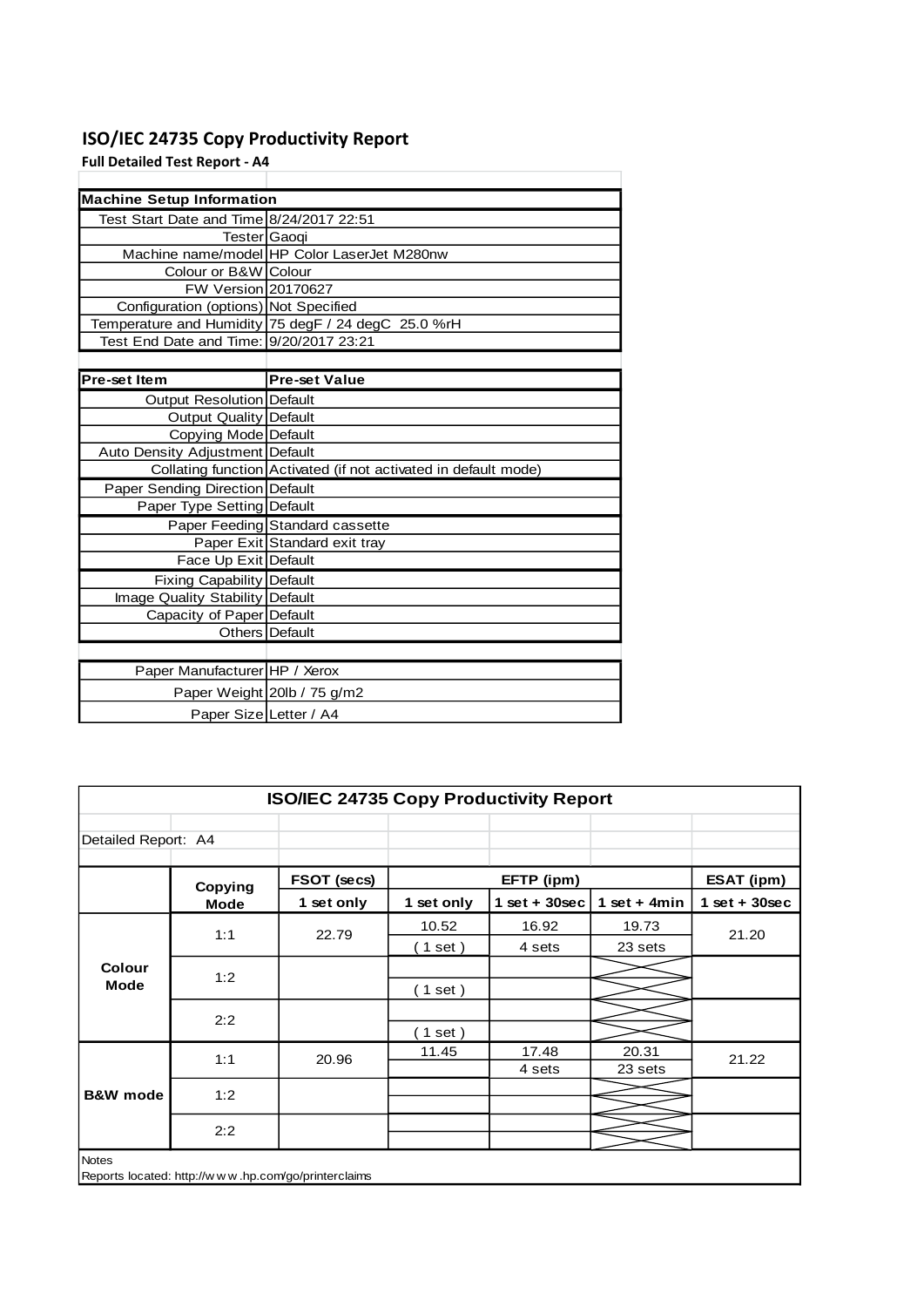# **ISO/IEC 24735 Copy Productivity Report**

**Full Detailed Test Report - A4**

| <b>Machine Setup Information</b>         |                                                                 |
|------------------------------------------|-----------------------------------------------------------------|
| Test Start Date and Time 8/24/2017 22:51 |                                                                 |
| Tester Gaoqi                             |                                                                 |
|                                          | Machine name/model HP Color LaserJet M280nw                     |
| Colour or B&W Colour                     |                                                                 |
| FW Version 20170627                      |                                                                 |
| Configuration (options) Not Specified    |                                                                 |
|                                          | Temperature and Humidity 75 degF / 24 degC 25.0 %rH             |
| Test End Date and Time: 9/20/2017 23:21  |                                                                 |
|                                          |                                                                 |
| <b>Pre-set Item</b>                      | <b>Pre-set Value</b>                                            |
| Output Resolution Default                |                                                                 |
| <b>Output Quality Default</b>            |                                                                 |
| Copying Mode Default                     |                                                                 |
| Auto Density Adjustment Default          |                                                                 |
|                                          | Collating function Activated (if not activated in default mode) |
| Paper Sending Direction Default          |                                                                 |
| Paper Type Setting Default               |                                                                 |
|                                          | Paper Feeding Standard cassette                                 |
|                                          | Paper Exit Standard exit tray                                   |
| Face Up Exit Default                     |                                                                 |
| <b>Fixing Capability Default</b>         |                                                                 |
| Image Quality Stability Default          |                                                                 |
| Capacity of Paper Default                |                                                                 |
|                                          | Others Default                                                  |
|                                          |                                                                 |
| Paper Manufacturer HP / Xerox            |                                                                 |
|                                          | Paper Weight 20lb / 75 g/m2                                     |
| Paper Size Letter / A4                   |                                                                 |

|                              | <b>ISO/IEC 24735 Copy Productivity Report</b>       |             |                          |                 |                |                   |       |       |  |
|------------------------------|-----------------------------------------------------|-------------|--------------------------|-----------------|----------------|-------------------|-------|-------|--|
| Detailed Report: A4          |                                                     |             |                          |                 |                |                   |       |       |  |
|                              | Copying                                             | FSOT (secs) |                          | EFTP (ipm)      |                | <b>ESAT (ipm)</b> |       |       |  |
|                              | <b>Mode</b>                                         | 1 set only  | 1 set only               | $1$ set + 30sec | 1 set + $4min$ | $1$ set + 30sec   |       |       |  |
| <b>Colour</b><br><b>Mode</b> | 1:1                                                 | 22.79       | 10.52                    | 16.92           | 19.73          | 21.20             |       |       |  |
|                              |                                                     |             | $\left( 1$ set $\right)$ | 4 sets          | 23 sets        |                   |       |       |  |
|                              | 1:2                                                 |             |                          |                 |                |                   |       |       |  |
|                              |                                                     |             | (1 set)                  |                 |                |                   |       |       |  |
|                              | 2:2                                                 |             |                          |                 |                |                   |       |       |  |
|                              |                                                     |             | $1$ set)                 |                 |                |                   |       |       |  |
|                              |                                                     |             | 1:1                      | 20.96           | 11.45          | 17.48             | 20.31 | 21.22 |  |
|                              |                                                     |             |                          | 4 sets          | 23 sets        |                   |       |       |  |
| <b>B&amp;W</b> mode          | 1:2                                                 |             |                          |                 |                |                   |       |       |  |
|                              |                                                     |             |                          |                 |                |                   |       |       |  |
|                              | 2:2                                                 |             |                          |                 |                |                   |       |       |  |
| <b>Notes</b>                 | Reports located: http://www.hp.com/go/printerclaims |             |                          |                 |                |                   |       |       |  |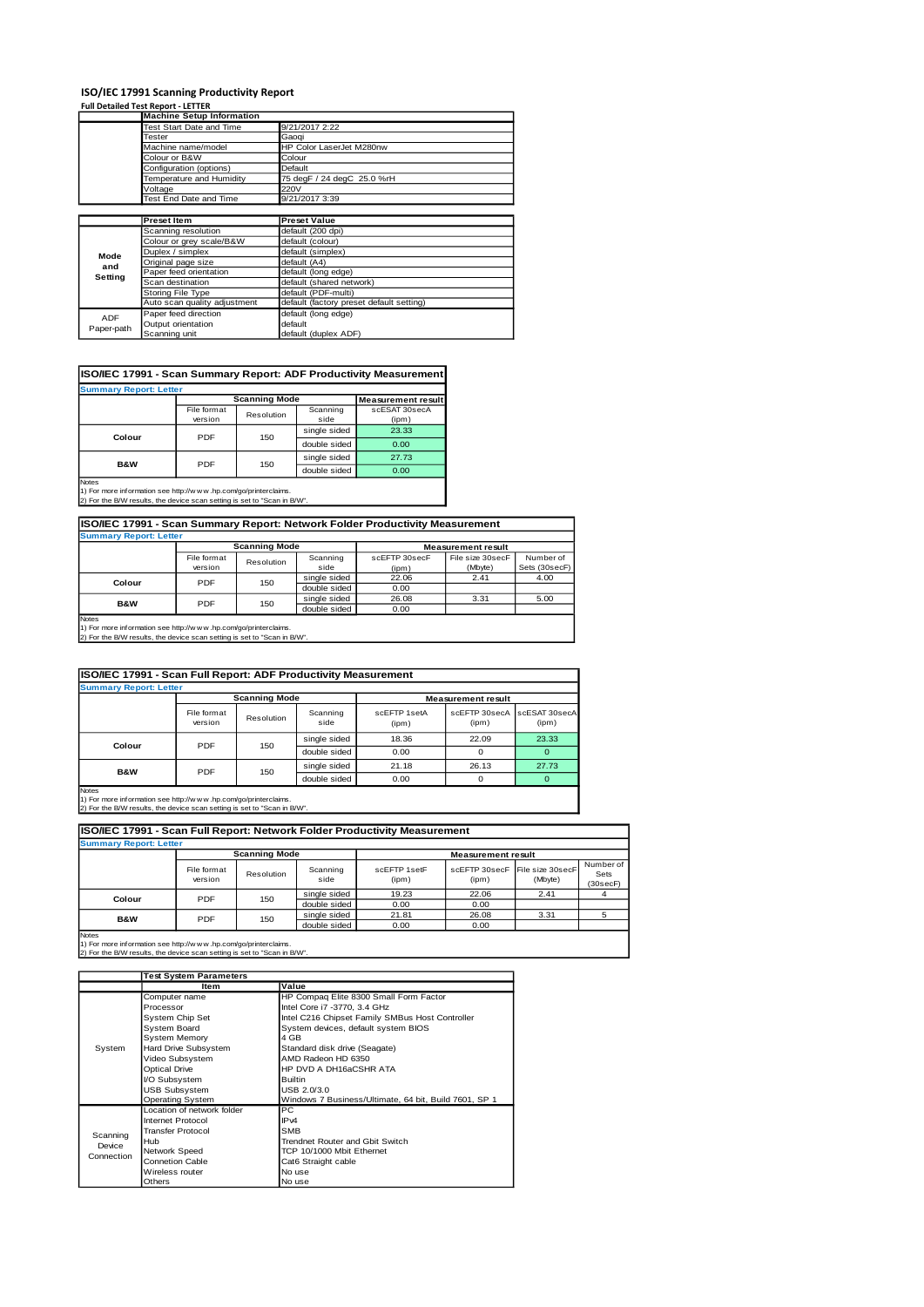# **ISO/IEC 17991 Scanning Productivity Report Full Detailed Test Report - LETTER**

|            | <b>Machine Setup Information</b> |                                          |
|------------|----------------------------------|------------------------------------------|
|            | Test Start Date and Time         | 9/21/2017 2:22                           |
|            | <b>Tester</b>                    | Gaoqi                                    |
|            | Machine name/model               | HP Color LaserJet M280nw                 |
|            | Colour or B&W                    | Colour                                   |
|            | Configuration (options)          | Default                                  |
|            | Temperature and Humidity         | 75 degF / 24 degC 25.0 %rH               |
|            | Voltage                          | 220V                                     |
|            | Test End Date and Time           | 9/21/2017 3:39                           |
|            |                                  |                                          |
|            | <b>Preset Item</b>               | <b>Preset Value</b>                      |
|            | Scanning resolution              | default (200 dpi)                        |
|            | Colour or grey scale/B&W         | default (colour)                         |
| Mode       | Duplex / simplex                 | default (simplex)                        |
| and        | Original page size               | default (A4)                             |
| Setting    | Paper feed orientation           | default (long edge)                      |
|            | Scan destination                 | default (shared network)                 |
|            | Storing File Type                | default (PDF-multi)                      |
|            | Auto scan quality adjustment     | default (factory preset default setting) |
| <b>ADF</b> | Paper feed direction             | default (long edge)                      |
|            | Output orientation               | default                                  |
| Paper-path | Scanning unit                    | default (duplex ADF)                     |

#### **ISO/IEC 17991 - Scan Summary Report: ADF Productivity Measurement**

| <b>Summary Report: Letter</b>         |                        |                      |                           |                        |  |  |  |
|---------------------------------------|------------------------|----------------------|---------------------------|------------------------|--|--|--|
|                                       |                        | <b>Scanning Mode</b> | <b>Measurement result</b> |                        |  |  |  |
|                                       | File format<br>version | Resolution           | Scanning<br>side          | scESAT 30secA<br>(ipm) |  |  |  |
| Colour                                | PDF                    | 150                  | single sided              | 23.33                  |  |  |  |
|                                       |                        |                      | double sided              | 0.00                   |  |  |  |
| B&W                                   | PDF                    | 150                  | single sided              | 27.73                  |  |  |  |
|                                       |                        |                      | double sided              | 0.00                   |  |  |  |
| <b>Notes</b><br>the state of the con- |                        |                      |                           |                        |  |  |  |

Notes 1) For more information see http://w w w .hp.com/go/printerclaims. 2) For the B/W results, the device scan setting is set to "Scan in B/W".

| ISO/IEC 17991 - Scan Summary Report: Network Folder Productivity Measurement          |                        |            |                  |                        |                             |                            |  |  |  |
|---------------------------------------------------------------------------------------|------------------------|------------|------------------|------------------------|-----------------------------|----------------------------|--|--|--|
| <b>Summary Report: Letter</b>                                                         |                        |            |                  |                        |                             |                            |  |  |  |
| <b>Scanning Mode</b><br><b>Measurement result</b>                                     |                        |            |                  |                        |                             |                            |  |  |  |
|                                                                                       | File format<br>version | Resolution | Scanning<br>side | scEFTP 30secF<br>(ipm) | File size 30secF<br>(Mbyte) | Number of<br>Sets (30secF) |  |  |  |
| Colour                                                                                | PDF<br>150             |            | single sided     | 22.06                  | 2.41                        | 4.00                       |  |  |  |
|                                                                                       |                        |            | double sided     | 0.00                   | 3.31                        |                            |  |  |  |
| <b>B&amp;W</b>                                                                        | PDF                    | 150        | single sided     | 26.08                  |                             | 5.00                       |  |  |  |
|                                                                                       |                        |            | double sided     | 0.00                   |                             |                            |  |  |  |
| Notes<br>4) For access information one beauthorities and the accelerate design of the |                        |            |                  |                        |                             |                            |  |  |  |

1) For more information see http://w w w .hp.com/go/printerclaims. 2) For the B/W results, the device scan setting is set to "Scan in B/W".

| ISO/IEC 17991 - Scan Full Report: ADF Productivity Measurement |     |     |              |                       |                                           |       |  |  |  |
|----------------------------------------------------------------|-----|-----|--------------|-----------------------|-------------------------------------------|-------|--|--|--|
| <b>Summary Report: Letter</b>                                  |     |     |              |                       |                                           |       |  |  |  |
| <b>Scanning Mode</b><br><b>Measurement result</b>              |     |     |              |                       |                                           |       |  |  |  |
| File format<br>Scanning<br>Resolution<br>side<br>version       |     |     |              | scEETP 1setA<br>(ipm) | (ipm)                                     | (ipm) |  |  |  |
| Colour                                                         | PDF |     | single sided | 18.36                 | 22.09                                     | 23.33 |  |  |  |
|                                                                |     | 150 | double sided | 0.00                  | scEFTP 30secA scESAT 30secA<br>26.13<br>O |       |  |  |  |
| <b>B&amp;W</b>                                                 | PDF | 150 | single sided | 21.18                 |                                           | 27.73 |  |  |  |
|                                                                |     |     | double sided | 0.00                  |                                           |       |  |  |  |
| <b>Notes</b>                                                   |     |     |              |                       |                                           |       |  |  |  |

Notes 1) For more information see http://w w w .hp.com/go/printerclaims. 2) For the B/W results, the device scan setting is set to "Scan in B/W".

**ISO/IEC 17991 - Scan Full Report: Network Folder Productivity Measurement**

| <b>Summary Report: Letter</b> |                        |            |                  |                           |       |                                           |                               |  |  |
|-------------------------------|------------------------|------------|------------------|---------------------------|-------|-------------------------------------------|-------------------------------|--|--|
|                               | <b>Scanning Mode</b>   |            |                  | <b>Measurement result</b> |       |                                           |                               |  |  |
|                               | File format<br>version | Resolution | Scanning<br>side | scEFTP 1setF<br>(ipm)     | (ipm) | scEFTP 30secF File size 30secF<br>(Mbyte) | Number of<br>Sets<br>(30secF) |  |  |
| Colour                        | PDF                    | 150        | single sided     | 19.23                     | 22.06 | 2.41                                      |                               |  |  |
|                               |                        |            | double sided     | 0.00                      | 0.00  |                                           |                               |  |  |
| <b>B&amp;W</b>                | PDF                    | 150        | single sided     | 21.81                     | 26.08 | 3.31                                      |                               |  |  |
|                               |                        |            |                  | 0.00                      | 0.00  |                                           |                               |  |  |
| <b>Notes</b>                  |                        |            |                  |                           |       |                                           |                               |  |  |

Notes 1) For more information see http://w w w .hp.com/go/printerclaims. 2) For the B/W results, the device scan setting is set to "Scan in B/W".

|                      | <b>Test System Parameters</b> |                                                       |  |  |
|----------------------|-------------------------------|-------------------------------------------------------|--|--|
|                      | Item                          | Value                                                 |  |  |
|                      | Computer name                 | HP Compag Elite 8300 Small Form Factor                |  |  |
|                      | Processor                     | Intel Core i7 -3770, 3.4 GHz                          |  |  |
|                      | System Chip Set               | Intel C216 Chipset Family SMBus Host Controller       |  |  |
|                      | System Board                  | System devices, default system BIOS                   |  |  |
|                      | <b>System Memory</b>          | 4 GB                                                  |  |  |
| System               | Hard Drive Subsystem          | Standard disk drive (Seagate)                         |  |  |
|                      | Video Subsystem               | AMD Radeon HD 6350                                    |  |  |
|                      | <b>Optical Drive</b>          | HP DVD A DH16aCSHR ATA                                |  |  |
|                      | <b>VO Subsystem</b>           | <b>Builtin</b>                                        |  |  |
|                      | <b>USB Subsystem</b>          | USB 2.0/3.0                                           |  |  |
|                      | <b>Operating System</b>       | Windows 7 Business/Ultimate, 64 bit, Build 7601, SP 1 |  |  |
|                      | Location of network folder    | PC.                                                   |  |  |
|                      | Internet Protocol             | IP <sub>v4</sub>                                      |  |  |
| Scanning             | <b>Transfer Protocol</b>      | <b>SMB</b>                                            |  |  |
| Device<br>Connection | Hub                           | Trendnet Router and Gbit Switch                       |  |  |
|                      | Network Speed                 | TCP 10/1000 Mbit Ethemet                              |  |  |
|                      | <b>Connetion Cable</b>        | Cat6 Straight cable                                   |  |  |
|                      | Wireless router               | No use                                                |  |  |
|                      | Others                        | No use                                                |  |  |